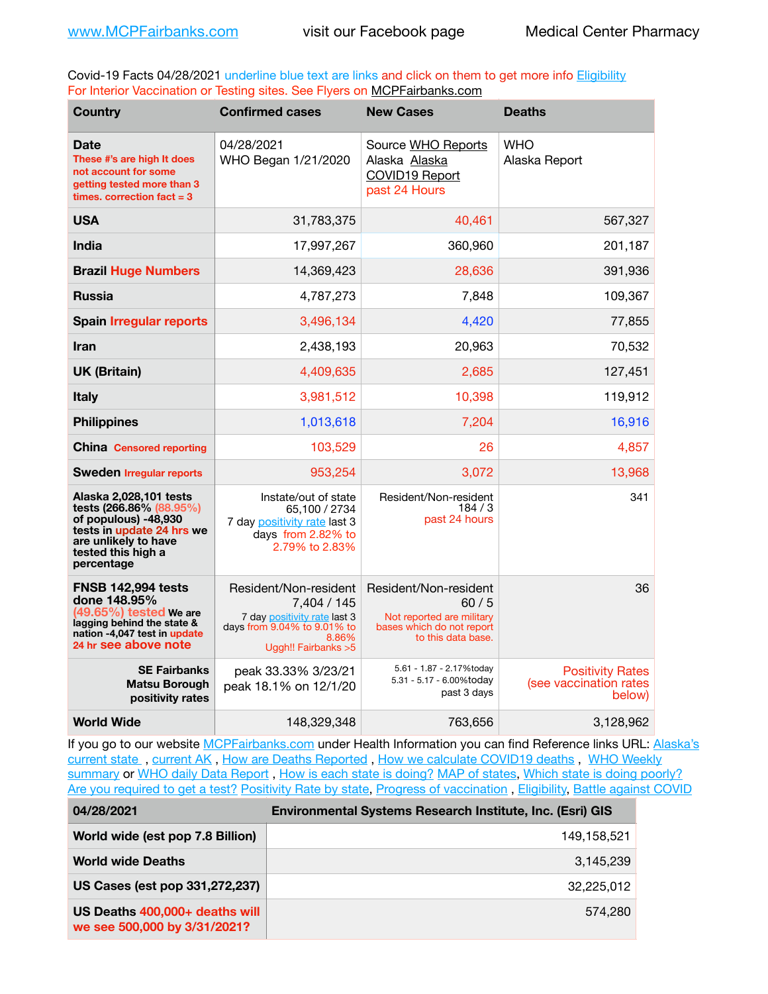Covid-19 Facts 04/28/2021 underline blue text are links and click on them to get more info **Eligibility** For Interior Vaccination or Testing sites. See Flyers on [MCPFairbanks.com](http://www.MCPFairbanks.com)

| <b>Country</b>                                                                                                                                                     | <b>Confirmed cases</b>                                                                                                               | <b>New Cases</b>                                                                                              | <b>Deaths</b>                                               |
|--------------------------------------------------------------------------------------------------------------------------------------------------------------------|--------------------------------------------------------------------------------------------------------------------------------------|---------------------------------------------------------------------------------------------------------------|-------------------------------------------------------------|
| <b>Date</b><br>These #'s are high It does<br>not account for some<br>getting tested more than 3<br>times. correction $fact = 3$                                    | 04/28/2021<br>WHO Began 1/21/2020                                                                                                    | Source WHO Reports<br>Alaska Alaska<br>COVID19 Report<br>past 24 Hours                                        | <b>WHO</b><br>Alaska Report                                 |
| <b>USA</b>                                                                                                                                                         | 31,783,375                                                                                                                           | 40,461                                                                                                        | 567,327                                                     |
| <b>India</b>                                                                                                                                                       | 17,997,267                                                                                                                           | 360,960                                                                                                       | 201,187                                                     |
| <b>Brazil Huge Numbers</b>                                                                                                                                         | 14,369,423                                                                                                                           | 28,636                                                                                                        | 391,936                                                     |
| <b>Russia</b>                                                                                                                                                      | 4,787,273                                                                                                                            | 7,848                                                                                                         | 109,367                                                     |
| <b>Spain Irregular reports</b>                                                                                                                                     | 3,496,134                                                                                                                            | 4,420                                                                                                         | 77,855                                                      |
| <b>Iran</b>                                                                                                                                                        | 2,438,193                                                                                                                            | 20,963                                                                                                        | 70,532                                                      |
| <b>UK (Britain)</b>                                                                                                                                                | 4,409,635                                                                                                                            | 2,685                                                                                                         | 127,451                                                     |
| <b>Italy</b>                                                                                                                                                       | 3,981,512                                                                                                                            | 10,398                                                                                                        | 119,912                                                     |
| <b>Philippines</b>                                                                                                                                                 | 1,013,618                                                                                                                            | 7,204                                                                                                         | 16,916                                                      |
| <b>China Censored reporting</b>                                                                                                                                    | 103,529                                                                                                                              | 26                                                                                                            | 4,857                                                       |
| <b>Sweden Irregular reports</b>                                                                                                                                    | 953.254                                                                                                                              | 3,072                                                                                                         | 13,968                                                      |
| Alaska 2,028,101 tests<br>tests (266.86% (88.95%)<br>of populous) -48,930<br>tests in update 24 hrs we<br>are unlikely to have<br>tested this high a<br>percentage | Instate/out of state<br>65.100 / 2734<br>7 day positivity rate last 3<br>days from 2.82% to<br>2.79% to 2.83%                        | Resident/Non-resident<br>184/3<br>past 24 hours                                                               | 341                                                         |
| <b>FNSB 142.994 tests</b><br>done 148.95%<br>$(49.65\%)$ tested We are<br>lagging behind the state &<br>nation -4,047 test in update<br>24 hr see above note       | Resident/Non-resident<br>7,404 / 145<br>7 day positivity rate last 3<br>days from 9.04% to 9.01% to<br>8.86%<br>Uggh!! Fairbanks > 5 | Resident/Non-resident<br>60/5<br>Not reported are military<br>bases which do not report<br>to this data base. | 36                                                          |
| <b>SE Fairbanks</b><br><b>Matsu Borough</b><br>positivity rates                                                                                                    | peak 33.33% 3/23/21<br>peak 18.1% on 12/1/20                                                                                         | 5.61 - 1.87 - 2.17%today<br>5.31 - 5.17 - 6.00%today<br>past 3 days                                           | <b>Positivity Rates</b><br>(see vaccination rates<br>below) |
| <b>World Wide</b>                                                                                                                                                  | 148,329,348                                                                                                                          | 763,656                                                                                                       | 3,128,962                                                   |

If you go to our website [MCPFairbanks.com](http://www.MCPFairbanks.com) under Health Information you can find Reference links URL: Alaska's current state, current AK, [How are Deaths Reported](http://dhss.alaska.gov/dph/Epi/id/Pages/COVID-19/deathcounts.aspx), [How we calculate COVID19 deaths](https://coronavirus-response-alaska-dhss.hub.arcgis.com/search?collection=Document&groupIds=41ccb3344ebc4bd682c74073eba21f42), WHO Weekly [summary](http://www.who.int) or [WHO daily Data Report](https://covid19.who.int/table), [How is each state is doing?](https://www.msn.com/en-us/news/us/state-by-state-coronavirus-news/ar-BB13E1PX?fbclid=IwAR0_OBJH7lSyTN3ug_MsOeFnNgB1orTa9OBgilKJ7dhnwlVvHEsptuKkj1c) [MAP of states,](https://www.nationalgeographic.com/science/graphics/graphic-tracking-coronavirus-infections-us?cmpid=org=ngp::mc=crm-email::src=ngp::cmp=editorial::add=SpecialEdition_20210305&rid=B9A6DF5992658E8E35CE023113CFEA4C) [Which state is doing poorly?](https://bestlifeonline.com/covid-outbreak-your-state/?utm_source=nsltr&utm_medium=email&utm_content=covid-outbreak-your-state&utm_campaign=launch) [Are you required to get a test?](http://dhss.alaska.gov/dph/Epi/id/SiteAssets/Pages/HumanCoV/Whattodoafteryourtest.pdf) [Positivity Rate by state](https://coronavirus.jhu.edu/testing/individual-states/alaska), [Progress of vaccination](https://covid.cdc.gov/covid-data-tracker/#vaccinations) , [Eligibility,](http://dhss.alaska.gov/dph/Epi/id/Pages/COVID-19/VaccineAvailability.aspx) [Battle against COVID](https://www.nationalgeographic.com/science/graphics/graphic-tracking-coronavirus-infections-us?cmpid=org=ngp::mc=crm-email::src=ngp::cmp=editorial::add=SpecialEdition_20210219&rid=B9A6DF5992658E8E35CE023113CFEA4C)

| 04/28/2021                                                     | Environmental Systems Research Institute, Inc. (Esri) GIS |  |
|----------------------------------------------------------------|-----------------------------------------------------------|--|
| World wide (est pop 7.8 Billion)                               | 149,158,521                                               |  |
| <b>World wide Deaths</b>                                       | 3.145.239                                                 |  |
| US Cases (est pop 331,272,237)                                 | 32.225.012                                                |  |
| US Deaths 400,000+ deaths will<br>we see 500,000 by 3/31/2021? | 574.280                                                   |  |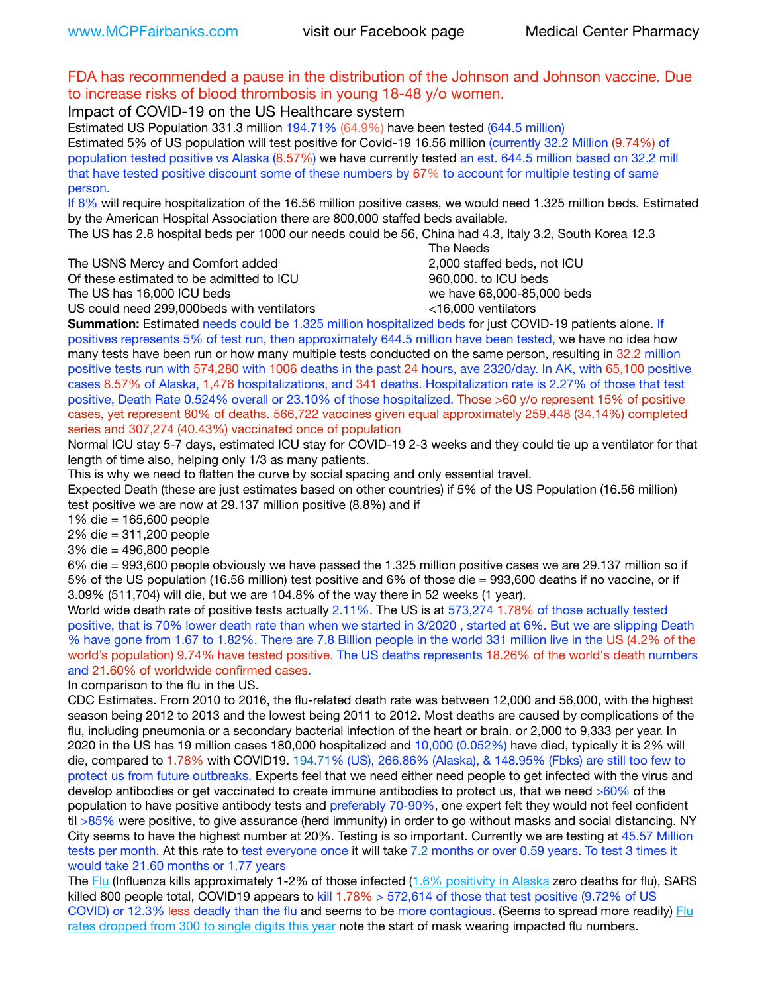## FDA has recommended a pause in the distribution of the Johnson and Johnson vaccine. Due to increase risks of blood thrombosis in young 18-48 y/o women.

Impact of COVID-19 on the US Healthcare system

Estimated US Population 331.3 million 194.71% (64.9%) have been tested (644.5 million) Estimated 5% of US population will test positive for Covid-19 16.56 million (currently 32.2 Million (9.74%) of population tested positive vs Alaska (8.57%) we have currently tested an est. 644.5 million based on 32.2 mill that have tested positive discount some of these numbers by 67% to account for multiple testing of same person.

If 8% will require hospitalization of the 16.56 million positive cases, we would need 1.325 million beds. Estimated by the American Hospital Association there are 800,000 staffed beds available.

The US has 2.8 hospital beds per 1000 our needs could be 56, China had 4.3, Italy 3.2, South Korea 12.3

The USNS Mercy and Comfort added 2,000 staffed beds, not ICU

Of these estimated to be admitted to ICU **860,000**, to ICU beds

 The Needs The US has 16,000 ICU beds we have 68,000-85,000 beds US could need 299,000 beds with ventilators  $\leq$ 16,000 ventilators

**Summation:** Estimated needs could be 1.325 million hospitalized beds for just COVID-19 patients alone. If positives represents 5% of test run, then approximately 644.5 million have been tested, we have no idea how many tests have been run or how many multiple tests conducted on the same person, resulting in 32.2 million positive tests run with 574,280 with 1006 deaths in the past 24 hours, ave 2320/day. In AK, with 65,100 positive cases 8.57% of Alaska, 1,476 hospitalizations, and 341 deaths. Hospitalization rate is 2.27% of those that test positive, Death Rate 0.524% overall or 23.10% of those hospitalized. Those >60 y/o represent 15% of positive cases, yet represent 80% of deaths. 566,722 vaccines given equal approximately 259,448 (34.14%) completed

series and 307,274 (40.43%) vaccinated once of population

Normal ICU stay 5-7 days, estimated ICU stay for COVID-19 2-3 weeks and they could tie up a ventilator for that length of time also, helping only 1/3 as many patients.

This is why we need to flatten the curve by social spacing and only essential travel.

Expected Death (these are just estimates based on other countries) if 5% of the US Population (16.56 million) test positive we are now at 29.137 million positive (8.8%) and if

1% die = 165,600 people

2% die = 311,200 people

3% die = 496,800 people

6% die = 993,600 people obviously we have passed the 1.325 million positive cases we are 29.137 million so if 5% of the US population (16.56 million) test positive and 6% of those die = 993,600 deaths if no vaccine, or if 3.09% (511,704) will die, but we are 104.8% of the way there in 52 weeks (1 year).

World wide death rate of positive tests actually 2.11%. The US is at 573,274 1.78% of those actually tested positive, that is 70% lower death rate than when we started in 3/2020 , started at 6%. But we are slipping Death % have gone from 1.67 to 1.82%. There are 7.8 Billion people in the world 331 million live in the US (4.2% of the world's population) 9.74% have tested positive. The US deaths represents 18.26% of the world's death numbers and 21.60% of worldwide confirmed cases.

In comparison to the flu in the US.

CDC Estimates. From 2010 to 2016, the flu-related death rate was between 12,000 and 56,000, with the highest season being 2012 to 2013 and the lowest being 2011 to 2012. Most deaths are caused by complications of the flu, including pneumonia or a secondary bacterial infection of the heart or brain. or 2,000 to 9,333 per year. In 2020 in the US has 19 million cases 180,000 hospitalized and 10,000 (0.052%) have died, typically it is 2% will die, compared to 1.78% with COVID19. 194.71% (US), 266.86% (Alaska), & 148.95% (Fbks) are still too few to protect us from future outbreaks. Experts feel that we need either need people to get infected with the virus and develop antibodies or get vaccinated to create immune antibodies to protect us, that we need >60% of the population to have positive antibody tests and preferably 70-90%, one expert felt they would not feel confident til >85% were positive, to give assurance (herd immunity) in order to go without masks and social distancing. NY City seems to have the highest number at 20%. Testing is so important. Currently we are testing at 45.57 Million tests per month. At this rate to test everyone once it will take 7.2 months or over 0.59 years. To test 3 times it would take 21.60 months or 1.77 years

The [Flu](https://lnks.gd/l/eyJhbGciOiJIUzI1NiJ9.eyJidWxsZXRpbl9saW5rX2lkIjoxMDMsInVyaSI6ImJwMjpjbGljayIsImJ1bGxldGluX2lkIjoiMjAyMTAyMjYuMzYwNDA3NTEiLCJ1cmwiOiJodHRwczovL3d3dy5jZGMuZ292L2ZsdS93ZWVrbHkvb3ZlcnZpZXcuaHRtIn0.ePMA_hsZ-pTnhWSyg1gHvHWYTu2XceVOt0JejxvP1WE/s/500544915/br/98428119752-l) (Influenza kills approximately 1-2% of those infected ([1.6% positivity in Alaska](http://dhss.alaska.gov/dph/Epi/id/SiteAssets/Pages/influenza/trends/Snapshot.pdf) zero deaths for flu), SARS killed 800 people total, COVID19 appears to kill  $1.78\% > 572,614$  of those that test positive (9.72% of US COVID) or 12.3% less deadly than the flu and seems to be more contagious. (Seems to spread more readily) Flu [rates dropped from 300 to single digits this year](https://lnks.gd/l/eyJhbGciOiJIUzI1NiJ9.eyJidWxsZXRpbl9saW5rX2lkIjoxMDEsInVyaSI6ImJwMjpjbGljayIsImJ1bGxldGluX2lkIjoiMjAyMTAyMjYuMzYwNDA3NTEiLCJ1cmwiOiJodHRwOi8vZGhzcy5hbGFza2EuZ292L2RwaC9FcGkvaWQvUGFnZXMvaW5mbHVlbnphL2ZsdWluZm8uYXNweCJ9.oOe3nt2fww6XpsNhb4FZfmtPfPa-irGaldpkURBJhSo/s/500544915/br/98428119752-l) note the start of mask wearing impacted flu numbers.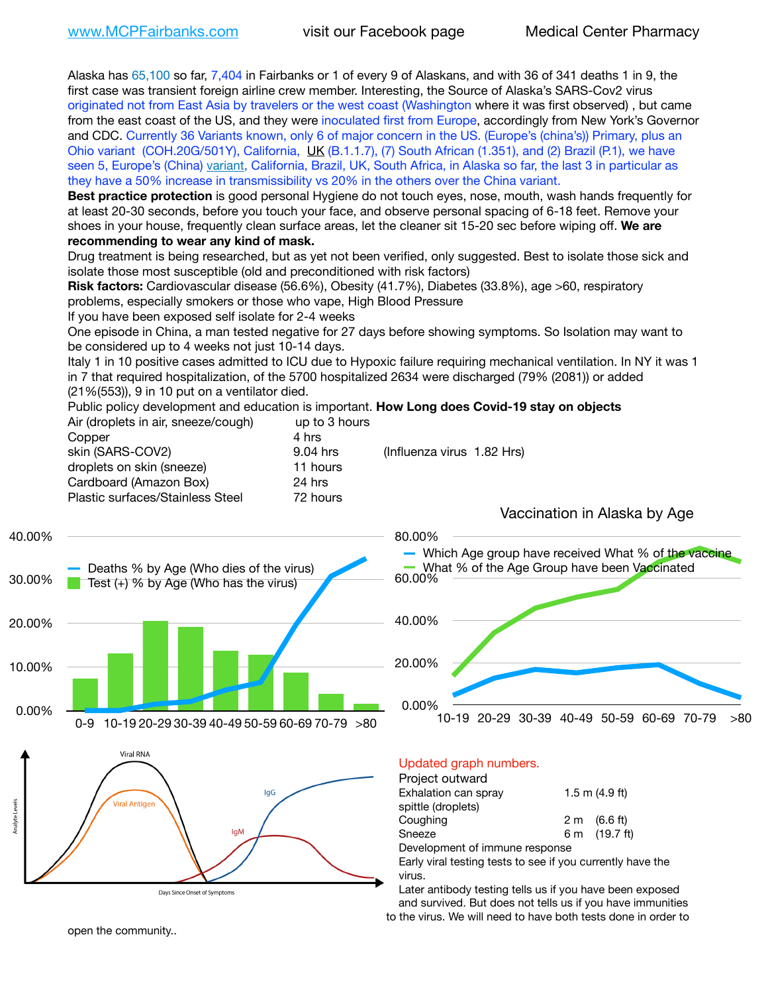Alaska has 65,100 so far, 7,404 in Fairbanks or 1 of every 9 of Alaskans, and with 36 of 341 deaths 1 in 9, the first case was transient foreign airline crew member. Interesting, the Source of Alaska's SARS-Cov2 virus originated not from East Asia by travelers or the west coast (Washington where it was first observed) , but came from the east coast of the US, and they were inoculated first from Europe, accordingly from New York's Governor and CDC. Currently 36 Variants known, only 6 of major concern in the US. (Europe's (china's)) Primary, plus an Ohio variant (COH.20G/501Y), California, [UK](https://www.cdc.gov/coronavirus/2019-ncov/transmission/variant-cases.html) (B.1.1.7), (7) South African (1.351), and (2) Brazil (P.1), we have seen 5, Europe's (China) [variant,](https://www.webmd.com/lung/news/20210318/cdc-who-create-threat-levels-for-covid-variants?ecd=wnl_cvd_031921&ctr=wnl-cvd-031921&mb=kYbf7DsHb7YGjh/1RUkcAW0T6iorImAU1TDZh18RYs0=_Support_titleLink_2) California, Brazil, UK, South Africa, in Alaska so far, the last 3 in particular as they have a 50% increase in transmissibility vs 20% in the others over the China variant.

**Best practice protection** is good personal Hygiene do not touch eyes, nose, mouth, wash hands frequently for at least 20-30 seconds, before you touch your face, and observe personal spacing of 6-18 feet. Remove your shoes in your house, frequently clean surface areas, let the cleaner sit 15-20 sec before wiping off. **We are recommending to wear any kind of mask.**

Drug treatment is being researched, but as yet not been verified, only suggested. Best to isolate those sick and isolate those most susceptible (old and preconditioned with risk factors)

**Risk factors:** Cardiovascular disease (56.6%), Obesity (41.7%), Diabetes (33.8%), age >60, respiratory problems, especially smokers or those who vape, High Blood Pressure

If you have been exposed self isolate for 2-4 weeks

One episode in China, a man tested negative for 27 days before showing symptoms. So Isolation may want to be considered up to 4 weeks not just 10-14 days.

Italy 1 in 10 positive cases admitted to ICU due to Hypoxic failure requiring mechanical ventilation. In NY it was 1 in 7 that required hospitalization, of the 5700 hospitalized 2634 were discharged (79% (2081)) or added (21%(553)), 9 in 10 put on a ventilator died.

Public policy development and education is important. **How Long does Covid-19 stay on objects**  $\Delta$ ir (dropleto in air, sneeze/cough) up to 3 hours

| All (dioplets in all, sheeze/cough) | ap to 3 Hours |                            |
|-------------------------------------|---------------|----------------------------|
| Copper                              | 4 hrs         |                            |
| skin (SARS-COV2)                    | 9.04 hrs      | (Influenza virus 1.82 Hrs) |
| droplets on skin (sneeze)           | 11 hours      |                            |
| Cardboard (Amazon Box)              | 24 hrs        |                            |
| Plastic surfaces/Stainless Steel    | 72 hours      |                            |
|                                     |               |                            |







Vaccination in Alaska by Age

### Updated graph numbers.

#### Project outward

| Exhalation can spray           | $1.5$ m $(4.9$ ft)     |
|--------------------------------|------------------------|
| spittle (droplets)             |                        |
| Coughing                       | $2 \text{ m}$ (6.6 ft) |
| Sneeze                         | 6 m (19.7 ft)          |
| Development of immune response |                        |

Early viral testing tests to see if you currently have the virus.

Later antibody testing tells us if you have been exposed and survived. But does not tells us if you have immunities to the virus. We will need to have both tests done in order to

open the community..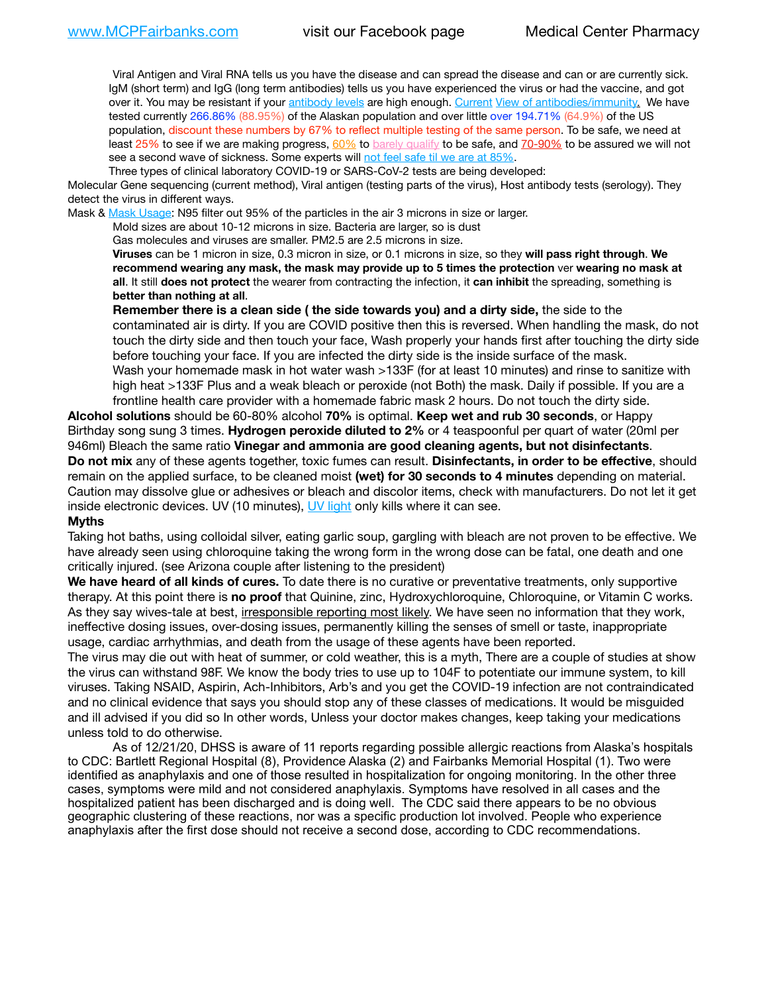Viral Antigen and Viral RNA tells us you have the disease and can spread the disease and can or are currently sick. IgM (short term) and IgG (long term antibodies) tells us you have experienced the virus or had the vaccine, and got over it. You may be resistant if your [antibody levels](https://www.cdc.gov/coronavirus/2019-ncov/lab/resources/antibody-tests.html) are high enough. [Current](https://l.facebook.com/l.php?u=https://www.itv.com/news/2020-10-26/covid-19-antibody-levels-reduce-over-time-study-finds?fbclid=IwAR3Dapzh1qIH1EIOdUQI2y8THf7jfA4KBCaJz8Qg-8xe1YsrR4nsAHDIXSY&h=AT30nut8pkqp0heVuz5W2rT2WFFm-2Ab52BsJxZZCNlGsX58IpPkuVEPULbIUV_M16MAukx1Kwb657DPXxsgDN1rpOQ4gqBtQsmVYiWpnHPJo2RQsU6CPMd14lgLnQnFWxfVi6zvmw&__tn__=-UK-R&c%5B0%5D=AT1GaRAfR_nGAyqcn7TI1-PpvqOqEKXHnz6TDWvRStMnOSH7boQDvTiwTOc6VId9UES6LKiOmm2m88wKCoolkJyOFvakt2Z1Mw8toYWGGoWW23r0MNVBl7cYJXB_UOvGklNHaNnaNr1_S7NhT3BSykNOBg) [View of antibodies/immunity](https://www.livescience.com/antibodies.html)[.](https://www.itv.com/news/2020-10-26/covid-19-antibody-levels-reduce-over-time-study-finds) We have tested currently 266.86% (88.95%) of the Alaskan population and over little over 194.71% (64.9%) of the US population, discount these numbers by 67% to reflect multiple testing of the same person. To be safe, we need at least 25% to see if we are making progress, [60%](https://www.jhsph.edu/covid-19/articles/achieving-herd-immunity-with-covid19.html) to [barely qualify](https://www.nature.com/articles/d41586-020-02948-4) to be safe, and [70-90%](https://www.mayoclinic.org/herd-immunity-and-coronavirus/art-20486808) to be assured we will not see a second wave of sickness. Some experts will [not feel safe til we are at 85%.](https://www.bannerhealth.com/healthcareblog/teach-me/what-is-herd-immunity)

Three types of clinical laboratory COVID-19 or SARS-CoV-2 tests are being developed:

Molecular Gene sequencing (current method), Viral antigen (testing parts of the virus), Host antibody tests (serology). They detect the virus in different ways.

Mask & [Mask Usage:](https://www.nationalgeographic.com/history/2020/03/how-cities-flattened-curve-1918-spanish-flu-pandemic-coronavirus/) N95 filter out 95% of the particles in the air 3 microns in size or larger.

Mold sizes are about 10-12 microns in size. Bacteria are larger, so is dust

Gas molecules and viruses are smaller. PM2.5 are 2.5 microns in size.

**Viruses** can be 1 micron in size, 0.3 micron in size, or 0.1 microns in size, so they **will pass right through**. **We recommend wearing any mask, the mask may provide up to 5 times the protection** ver **wearing no mask at all**. It still **does not protect** the wearer from contracting the infection, it **can inhibit** the spreading, something is **better than nothing at all**.

**Remember there is a clean side ( the side towards you) and a dirty side,** the side to the contaminated air is dirty. If you are COVID positive then this is reversed. When handling the mask, do not touch the dirty side and then touch your face, Wash properly your hands first after touching the dirty side before touching your face. If you are infected the dirty side is the inside surface of the mask. Wash your homemade mask in hot water wash >133F (for at least 10 minutes) and rinse to sanitize with high heat >133F Plus and a weak bleach or peroxide (not Both) the mask. Daily if possible. If you are a frontline health care provider with a homemade fabric mask 2 hours. Do not touch the dirty side.

**Alcohol solutions** should be 60-80% alcohol **70%** is optimal. **Keep wet and rub 30 seconds**, or Happy Birthday song sung 3 times. **Hydrogen peroxide diluted to 2%** or 4 teaspoonful per quart of water (20ml per 946ml) Bleach the same ratio **Vinegar and ammonia are good cleaning agents, but not disinfectants**. **Do not mix** any of these agents together, toxic fumes can result. **Disinfectants, in order to be effective**, should remain on the applied surface, to be cleaned moist **(wet) for 30 seconds to 4 minutes** depending on material. Caution may dissolve glue or adhesives or bleach and discolor items, check with manufacturers. Do not let it get inside electronic devices. UV (10 minutes), [UV light](http://www.docreviews.me/best-uv-boxes-2020/?fbclid=IwAR3bvFtXB48OoBBSvYvTEnKuHNPbipxM6jUo82QUSw9wckxjC7wwRZWabGw) only kills where it can see.

#### **Myths**

Taking hot baths, using colloidal silver, eating garlic soup, gargling with bleach are not proven to be effective. We have already seen using chloroquine taking the wrong form in the wrong dose can be fatal, one death and one critically injured. (see Arizona couple after listening to the president)

**We have heard of all kinds of cures.** To date there is no curative or preventative treatments, only supportive therapy. At this point there is **no proof** that Quinine, zinc, Hydroxychloroquine, Chloroquine, or Vitamin C works. As they say wives-tale at best, irresponsible reporting most likely. We have seen no information that they work, ineffective dosing issues, over-dosing issues, permanently killing the senses of smell or taste, inappropriate usage, cardiac arrhythmias, and death from the usage of these agents have been reported.

The virus may die out with heat of summer, or cold weather, this is a myth, There are a couple of studies at show the virus can withstand 98F. We know the body tries to use up to 104F to potentiate our immune system, to kill viruses. Taking NSAID, Aspirin, Ach-Inhibitors, Arb's and you get the COVID-19 infection are not contraindicated and no clinical evidence that says you should stop any of these classes of medications. It would be misguided and ill advised if you did so In other words, Unless your doctor makes changes, keep taking your medications unless told to do otherwise.

As of 12/21/20, DHSS is aware of 11 reports regarding possible allergic reactions from Alaska's hospitals to CDC: Bartlett Regional Hospital (8), Providence Alaska (2) and Fairbanks Memorial Hospital (1). Two were identified as anaphylaxis and one of those resulted in hospitalization for ongoing monitoring. In the other three cases, symptoms were mild and not considered anaphylaxis. Symptoms have resolved in all cases and the hospitalized patient has been discharged and is doing well. The CDC said there appears to be no obvious geographic clustering of these reactions, nor was a specific production lot involved. People who experience anaphylaxis after the first dose should not receive a second dose, according to CDC recommendations.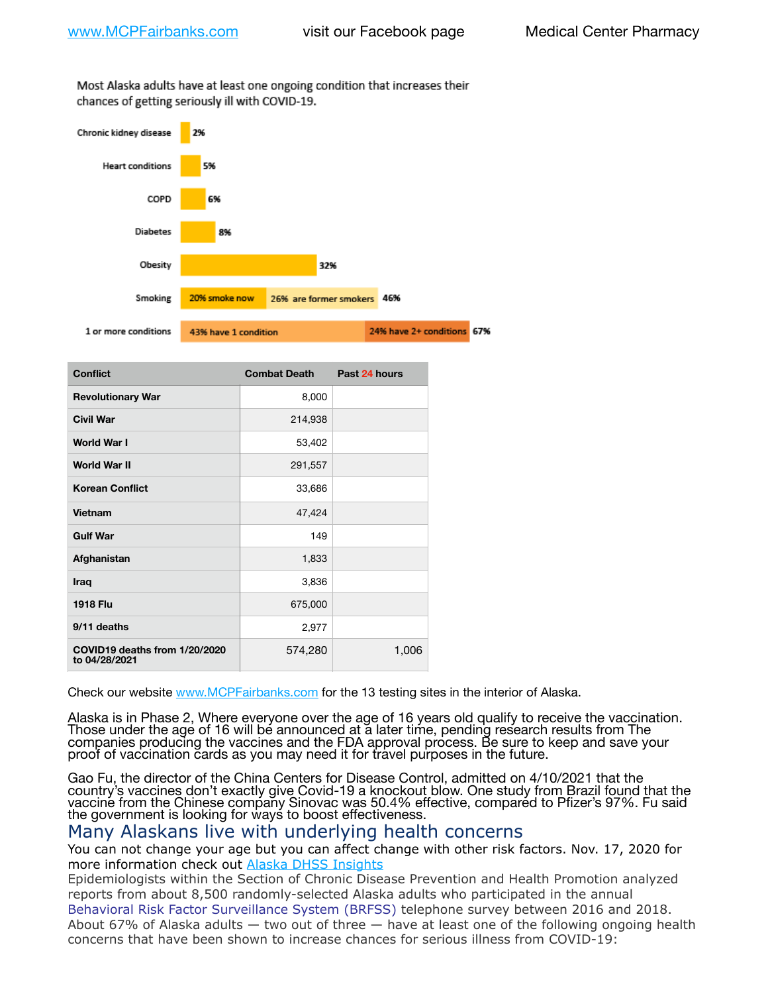Most Alaska adults have at least one ongoing condition that increases their chances of getting seriously ill with COVID-19.



| <b>Conflict</b>                                | <b>Combat Death</b> | Past 24 hours |
|------------------------------------------------|---------------------|---------------|
| <b>Revolutionary War</b>                       | 8,000               |               |
| <b>Civil War</b>                               | 214,938             |               |
| <b>World War I</b>                             | 53,402              |               |
| <b>World War II</b>                            | 291,557             |               |
| <b>Korean Conflict</b>                         | 33,686              |               |
| Vietnam                                        | 47,424              |               |
| <b>Gulf War</b>                                | 149                 |               |
| Afghanistan                                    | 1,833               |               |
| Iraq                                           | 3,836               |               |
| <b>1918 Flu</b>                                | 675,000             |               |
| 9/11 deaths                                    | 2,977               |               |
| COVID19 deaths from 1/20/2020<br>to 04/28/2021 | 574,280             | 1,006         |

Check our website [www.MCPFairbanks.com](http://www.MCPFairbanks.com) for the 13 testing sites in the interior of Alaska.

Alaska is in Phase 2, Where everyone over the age of 16 years old qualify to receive the vaccination. Those under the age of 16 will be announced at a later time, pending research results from The companies producing the vaccines and the FDA approval process. Be sure to keep and save your proof of vaccination cards as you may need it for travel purposes in the future.

Gao Fu, the director of the China Centers for Disease Control, admitted on 4/10/2021 that the country's vaccines don't exactly give Covid-19 a knockout blow. One study from Brazil found that the vaccine from the Chinese company Sinovac was 50.4% effective, compared to Pfizer's 97%. Fu said the government is looking for ways to boost effectiveness.

# Many Alaskans live with underlying health concerns

You can not change your age but you can affect change with other risk factors. Nov. 17, 2020 for more information check out [Alaska DHSS Insights](http://dhss.alaska.gov/dph/Epi/id/Pages/COVID-19/blog/20201117.aspx)

Epidemiologists within the Section of Chronic Disease Prevention and Health Promotion analyzed reports from about 8,500 randomly-selected Alaska adults who participated in the annual [Behavioral Risk Factor Surveillance System \(BRFSS\)](http://dhss.alaska.gov/dph/Chronic/Pages/brfss/default.aspx) telephone survey between 2016 and 2018. About 67% of Alaska adults — two out of three — have at least one of the following ongoing health concerns that have been shown to increase chances for serious illness from COVID-19: